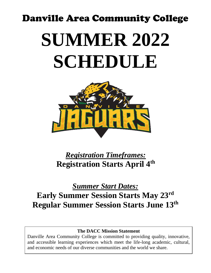# Danville Area Community College **SUMMER 2022 SCHEDULE**



*Registration Timeframes:* **Registration Starts April 4 th**

## *Summer Start Dates:* **Early Summer Session Starts May 23 rd Regular Summer Session Starts June 13 th**

### **The DACC Mission Statement**

Danville Area Community College is committed to providing quality, innovative, and accessible learning experiences which meet the life-long academic, cultural, and economic needs of our diverse communities and the world we share.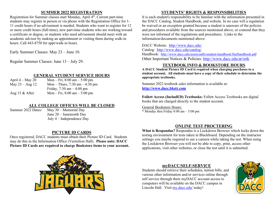#### **SUMMER 2022 REGISTRATION**

Registration for Summer classes start Monday, April 4<sup>th</sup>. Current part-time students may register in person or via phone with the Registration Office for 1- 11 credit hours if no advisement is needed. Students who want to register for 12 or more credit hours (full-time), new part-time students who are working toward a certificate or degree, or students who need advisement should meet with an academic advisor by making an appointment or visiting them during walk-in hours. Call 443-8750 for appt/walk-in hours.

Early Summer Classes: May 23 – June 10.

Regular Summer Classes: June 13 – July 29.

#### **GENERAL STUDENT SERVICE HOURS**

| April $4 -$ May 20 | Mon – Fri, $8:00 \text{ am} - 5:00 \text{ pm}$ |
|--------------------|------------------------------------------------|
| May $23 - Aug 12$  | Mon – Thurs, $7:30$ am – $4:30$ pm             |
|                    | Friday, $7:30 \text{ am} - 4:00 \text{ pm}$    |
| Aug 15 $&$ After   | Mon – Fri, $8:00 \text{ am} - 5:00 \text{ pm}$ |

#### **ALL COLLEGE OFFICES WILL BE CLOSED**

Summer 2022 Dates: May 30 – Memorial Day June 20 – Juneteenth Day July 4 – Independence Day

#### **PICTURE ID CARDS**

Once registered, DACC students must obtain their Picture ID Card. Students may do this in the Information Office (Vermilion Hall). **Please note: DACC Picture ID Cards are required to charge Bookstore items to your account.**



#### **STUDENTS' RIGHTS & RESPONSIBILITIES**

It is each student's responsibility to be familiar with the information presented in the DACC Catalog, Student Handbook, and website. In no case will a regulation be waived or an exception granted because a student is unaware of the policies and procedures available from the sources mentioned above, or contend that they were not informed of the regulations and procedures. Links to the information/documents mentioned above:

DACC Website: <http://www.dacc.edu/> Catalog: <http://www.dacc.edu/catalog/> Handbook: <http://www.dacc.edu/assets/pdfs/student-handbook/StuHandbook.pdf> Other Important Notices & Policies:<http://www.dacc.edu/ar/srtk>

#### **TEXTBOOK INFO & BOOKSTORE HOURS**

**A DACC Student Picture ID Card is required when charging purchases to a student account. All students must have a copy of their schedule to determine the appropriate textbooks.** 

Summer 2022 textbook sales information is available at: **[http://www.dacc.bkstr.com](http://www.dacc.bkstr.com/)**

**Follett Access (IncludED) Textbooks:** Follett Access Textbooks are digital books that are charged directly to the student account.

General Bookstore Hours:

\* Monday thru Friday 8:00 am – 5:00 pm

#### **ONLINE TEST PROCTERING**

**What is Respondus?** Respondus is a Lockdown Browser which locks down the testing environment for tests taken in Blackboard. Depending on the instructor settings you maybe required to use a camera while taking the test. When using the Lockdown Browser you will not be able to copy, print, access other applications, visit other websites, or close the test until it is submitted.

#### **myDACC/SELF-SERVICE**

Students should retrieve their schedules, tuition bills, and various other information and/or services online through self service through there myDACC account access to computers will be available on the DACC campus in Lincoln Hall. Visit my.dacc.edu/ today!

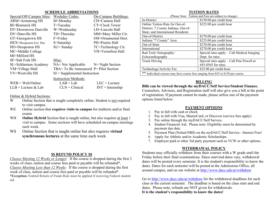#### **SCHEDULE ABBREVIATIONS**

| Special/Off-Campus Sites: | <b>Weekday Codes:</b>                     | On-Campus Buildings: |
|---------------------------|-------------------------------------------|----------------------|
| <b>ARM=Armstrong HS</b>   | M=Monday                                  | CH=Cannon Hall       |
| <b>BI=Bismarck HS</b>     | $T = Tuesday$                             | CT=Clock Tower       |
| DT=Downtown Danville      | W=Wednesday                               | LH=Lincoln Hall      |
| DV=Danville HS            | TH=Thursday                               | MM=Mary Miller Ctr.  |
| GT=Georgetown HS          | F=Friday                                  | OH=Ornamental Hort.  |
| HEX=Hoopeston Ext. Site   | S=Saturday                                | PH=Prairie Hall      |
| HO=Hoopeston HS           | $SU =$ Sunday                             | TC=Technology Ctr.   |
| MC=Middle College         |                                           | VH=Vermilion Hall    |
| MI=Milford HS             |                                           |                      |
| SF=Salt Fork HS           | Misc:                                     |                      |
| SL=Schlarman Academy      | $NA = Not$ Applicable $N = Night$ Section |                      |
| VM=Village Mall           | TBA= To Be Announced $P =$ Pilot Section  |                      |
| VV=Westville HS           | $SI =$ Supplemental Instruction           |                      |
|                           | <b>Instruction Methods:</b>               |                      |
| $WEB = Web/Online$        | $LAB = Lab$                               | $LEC = Lecture$      |
| $LLB =$ Lecture & Lab     | $CLN = Clinical$                          | $INT = Internship$   |

#### Online & Hybrid Sections:

- W Online Section that is taught completely online. Student is not required to visit campus.
- WE Online section that **requires visits to campus** for midterm and/or final exams
- WH **Online Hybrid** Section that is taught online, but also requires at least 1 visit to campus. Some sections will have scheduled on-campus meetings each week.
- WS Online Section that is taught online but also requires **virtual synchronous lectures** at the same time each week.

#### **\$\$ REFUND POLICY \$\$**

*Classes Meeting 12 Weeks or Longer:* If the course is dropped during the first 2 weeks of class, tuition and course fees paid or payable will be refunded\*. *Classes Meeting Less than 12 Weeks:* If the course is dropped during the first week of class, tuition and course fees paid or payable will be refunded\*. \***Exception:** Federal Return of Funds Rule must be applied if receiving Federal student aid

#### **TUITION RATES**

| (Please Note: Tuition and Fees are subject to change) |  |  |  |
|-------------------------------------------------------|--|--|--|
|                                                       |  |  |  |

| $\frac{1}{2}$ and $\frac{1}{2}$ and $\frac{1}{2}$ are subject to enamely          |                                            |  |  |  |  |  |  |  |  |
|-----------------------------------------------------------------------------------|--------------------------------------------|--|--|--|--|--|--|--|--|
| In-District                                                                       | \$150.00 per credit hour                   |  |  |  |  |  |  |  |  |
| Online Tuition Rate for Out-of-                                                   | \$225.00 per credit hour                   |  |  |  |  |  |  |  |  |
| District; 7 County Indiana, Out-of-                                               |                                            |  |  |  |  |  |  |  |  |
| State; and International Residents                                                |                                            |  |  |  |  |  |  |  |  |
| Out-of-District                                                                   | \$270.00 per credit hour                   |  |  |  |  |  |  |  |  |
| Indiana "7 County" Area                                                           | \$225.00 per credit hour                   |  |  |  |  |  |  |  |  |
| Out-of-State                                                                      | \$270.00 per credit hour                   |  |  |  |  |  |  |  |  |
| International                                                                     | \$270.00 per credit hour                   |  |  |  |  |  |  |  |  |
| Rad Tech/Sonography/                                                              | Special rates apply – Call Medical Imaging |  |  |  |  |  |  |  |  |
| Echocardiography                                                                  | Dept. for rates.                           |  |  |  |  |  |  |  |  |
| <b>Truck Driving</b>                                                              | Special rates apply - Call Pete Powell at  |  |  |  |  |  |  |  |  |
|                                                                                   | 443-8565 for rates.                        |  |  |  |  |  |  |  |  |
| Technology/Activity Fee                                                           | \$25.00 per credit hour                    |  |  |  |  |  |  |  |  |
| ** Individual courses may have course fees ranging from \$55 to \$150 per course. |                                            |  |  |  |  |  |  |  |  |

#### **BILLING**

#### **Bills can be viewed through the myDACC/Self Service/Student Finance.**

Counselors, Advisors, and Registration staff will also give you a bill at the point of registration. If payment cannot be made, please utilize one of the payment options listed below.

#### **PAYMENT OPTIONS**

- 1. Pay in full with cash or check
- 2. Pay in full with Visa, MasterCard, or Discover (service fees apply)
- 3. Pay online through the myDACC/Self Service.
- 4. Student Financial Aid. Please note: Eligibility must be determined by payment due date.
- 5. Payment Plan (Nelnet/NBS) on the myDACC/Self Service Interest Free!
- 6. Apply for Athletic and/or Academic Scholarships.
- 7. Employer paid or other 3rd party payment such as VCW or other options.

#### **WITHDRAWAL POLICY**

Students may officially withdraw from their courses with a W grade until the Friday before their final examinations. Since start/end dates vary, withdrawal dates will be posted every semester. It is the student's responsibility to know the dates. Dates for each semester will be posted at the Admissions Office, all around campus, and on our website at<http://www.dacc.edu/ar/withdraw>

Go to <http://www.dacc.edu/ar/withdraw> for the withdrawal deadlines for each class in the current semester. The deadline is based on the class start and end dates. Please note, refunds are NOT given for withdrawals. **It is the student's responsibility to know the dates!**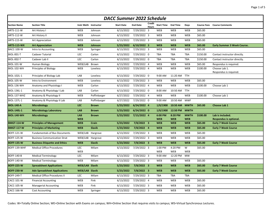| <b>DACC Summer 2022 Schedule</b> |                                      |                       |               |                        |                 |                        |                            |                 |                         |          |                                         |  |
|----------------------------------|--------------------------------------|-----------------------|---------------|------------------------|-----------------|------------------------|----------------------------|-----------------|-------------------------|----------|-----------------------------------------|--|
| <b>Section Name</b>              | <b>Section Title</b>                 | Instr Meth Instructor |               | <b>Start Date</b>      | <b>End Date</b> | Credit<br><b>Hours</b> | <b>Start Time End Time</b> |                 | Days                    |          | <b>Course Fees</b> Course Comments      |  |
| ARTS-111-W                       | Art History I                        | <b>WEB</b>            | Johnson       | $\frac{1}{6}$ /13/2022 | 7/29/2022 3     |                        | <b>WEB</b>                 | WEB             | <b>WEB</b>              | \$65.00  |                                         |  |
| ARTS-112-W                       | Art History II                       | <b>WEB</b>            | Johnson       | 6/13/2022              | 7/29/2022 3     |                        | <b>WEB</b>                 | <b>WEB</b>      | <b>WEB</b>              | \$65.00  |                                         |  |
| ARTS-115-W                       | Art Appreciation                     | WEB                   | Johnson       | 6/13/2022              | 7/29/2022 3     |                        | WEB                        | WEB             | WEB                     | \$65.00  |                                         |  |
| <b>ARTS-115-WX</b>               | <b>Art Appreciation</b>              | <b>WEB</b>            | Johnson       | 5/23/2022              | $6/10/2022$ 3   |                        | <b>WEB</b>                 | <b>WEB</b>      | <b>WEB</b>              | \$65.00  | <b>Early Summer 3 Week Course.</b>      |  |
| <b>BACC-100-W</b>                | Intro to Accounting                  | <b>WEB</b>            | Springer      | 6/13/2022              | 7/29/2022 3     |                        | <b>WEB</b>                 | WEB             | <b>WEB</b>              | \$65.00  |                                         |  |
| <b>BIOL-001-T</b>                | Cadaver Tutorial                     | LEC                   | Carlon        | 6/13/2022              | 7/29/2022 0     |                        | <b>TBA</b>                 | <b>TBA</b>      | TBA                     | \$150.00 | Contact instructor directly.            |  |
| <b>BIOL-002-T</b>                | Cadaver Lab II                       | LEC                   | Carlon        | 6/13/2022              | 7/29/2022 0     |                        | TBA                        | TBA             | TBA                     | \$150.00 | Contact instructor directly.            |  |
| <b>BIOL-101-W</b>                | Human Biology                        | WEB/LAB               | Brown         | 6/13/2022              | 7/29/2022 4     |                        | WEB                        | WEB             | WEB                     | \$65.00  | Respondus is required.                  |  |
| <b>BIOL-102-WH</b>               | Principles of Biology                | <b>WEB</b>            | Loveless      | 6/13/2022              | 7/29/2022 4     |                        | <b>WEB</b>                 | <b>WEB</b>      | <b>WEB</b>              | \$100.00 | Choose Lab 1.<br>Respondus is required. |  |
| BIOL-102L-1                      | Principles of Biology Lab            | LAB                   | Loveless      | 6/13/2022              | 7/29/2022 0     |                        | 9:00 AM                    | 11:20 AM        | <b>TTH</b>              |          |                                         |  |
| <b>BIOL-105-W</b>                | Intro to Environment                 | WEB                   | Loveless      | 6/13/2022              | 7/29/2022 3     |                        | <b>WEB</b>                 | <b>WEB</b>      | WEB                     | \$65.00  |                                         |  |
| <b>BIOL-136-WH</b>               | Anatomy and Physiology I             | WEB                   | Carlon        | 6/13/2022              | 7/29/2022 4     |                        | <b>WEB</b>                 | <b>WEB</b>      | <b>WEB</b>              | \$100.00 | Choose Lab 1                            |  |
| BIOL-136L-1                      | Anatomy & Physiology I Lab           | LAB                   | Carlon        | 6/13/2022              | 7/29/2022 0     |                        | 8:00 AM                    | 10:50 AM        | TTH                     |          |                                         |  |
| BIOL-137-WHZ                     | Anatomy & Physiology II              | WEB                   | Poffinbarger  | 6/27/2022              | 7/29/2022 4     |                        | WEB                        | WEB             | <b>WEB</b>              | \$100.00 | Choose Lab 1                            |  |
| BIOL-137L-1                      | Anatomy & Physiology II Lab          | LAB                   | Poffinbarger  | 6/27/2022              | 7/29/2022 0     |                        | 9:00 AM                    | 10:50 AM        | <b>MWF</b>              |          |                                         |  |
| <b>BIOL-140-A</b>                | <b>Microbiology</b>                  | LEC.                  | <b>Brown</b>  | 5/23/2022              | $6/24/2022$ 4   |                        | 1/0/1900                   | 10:50 AM        | <b>MWTH</b>             | \$65.00  | Choose Lab 1                            |  |
| <b>BIOL-140L-1</b>               | <b>Microbiology Laboratory</b>       | LAB                   | <b>Brown</b>  | 5/23/2022              | $6/24/2022$ 0   |                        | 1/0/1900                   | 12:50 PM        | <b>MWTH</b>             |          |                                         |  |
| <b>BIOL-140-WH</b>               | <b>Microbiology</b>                  | <b>LAB</b>            | <b>Brown</b>  | 5/23/2022              | 7/15/2022 4     |                        | 6:00 PM                    | 8:20 PM         | <b>MWTH</b>             | \$100.00 | Lab is included.                        |  |
|                                  |                                      | <b>WEB</b>            |               |                        |                 |                        | <b>WEB</b>                 | <b>WEB</b>      | <b>WEB</b>              |          | Respondus is optional.                  |  |
| <b>BMGT-114-W</b>                | <b>Principles of Management</b>      | <b>WEB</b>            | <b>Crain</b>  | 5/23/2022              | $7/8/2022$ 3    |                        | <b>WEB</b>                 | <b>WEB</b>      | <b>WEB</b>              | \$65.00  | <b>Early 7 Week Course</b>              |  |
| <b>BMGT-117-W</b>                | <b>Principles of Marketing</b>       | <b>WEB</b>            | <b>Slavik</b> | 5/23/2022              | $7/8/2022$ 4    |                        | <b>WEB</b>                 | <b>WEB</b>      | <b>WEB</b>              | \$65.00  | <b>Early 7 Week Course</b>              |  |
| BOFF-121-W                       | <b>Fundamentals of Bus Documents</b> | WEB/LAB Hargrove      |               | 6/13/2022              | 7/29/2022 3     |                        | <b>WEB</b>                 | WEB             | <b>WEB</b>              | \$65.00  |                                         |  |
| <b>BOFF-125-W</b>                | <b>Business Communication Strat</b>  | WEB/LAB               | Hargrove      | 6/13/2022              | 7/29/2022 3     |                        | <b>WEB</b>                 | WEB             | WEB                     | \$65.00  |                                         |  |
| <b>BOFF-135-W</b>                | <b>Business Etiquette and Ethics</b> | <b>WEB</b>            | <b>Slavik</b> | 5/23/2022              | $7/8/2022$ 3    |                        | <b>WEB</b>                 | <b>WEB</b>      | <b>WEB</b>              | \$65.00  | <b>Early 7 Week Course</b>              |  |
| BOFF-139-WHF                     | <b>Medical Office Procedures</b>     | LEC                   | Milam         | 6/13/2022              | 7/29/2022 3     |                        | 1:00 PM                    | 4:20 PM         | W                       | \$65.00  |                                         |  |
| <b>BOFF-140-B</b>                |                                      | <b>WEB</b><br>LEC     | Milam         | 6/13/2022              | 7/29/2022 3     |                        | <b>WEB</b>                 | WEB<br>12:20 PM | <b>WEB</b><br><b>MW</b> |          |                                         |  |
|                                  | <b>Medical Terminology</b>           |                       |               |                        |                 |                        | 9:00 AM                    |                 |                         |          |                                         |  |
| <b>BOFF-140-W</b>                | <b>Medical Terminology</b>           | <b>WEB</b>            | Milam         | 6/13/2022              | 7/29/2022 3     |                        | <b>WEB</b>                 | <b>WEB</b>      | <b>WEB</b>              | \$65.00  |                                         |  |
| <b>BOFF-225-W</b>                | <b>Spreadsheet Applications</b>      | WEB/LAB Slavik        |               | 5/23/2022              | $7/8/2022$ 3    |                        | <b>WEB</b>                 | <b>WEB</b>      | <b>WEB</b>              | \$65.00  | <b>Early 7 Week Course</b>              |  |
| <b>BOFF-230-W</b>                | <b>Adv Spreadsheet Applications</b>  | <b>WEB/LAB Slavik</b> |               | 5/23/2022              | $7/8/2022$ 3    |                        | <b>WEB</b>                 | <b>WEB</b>      | <b>WEB</b>              | \$65.00  | <b>Early 7 Week Course</b>              |  |
| <b>BOFF-249-T</b>                | Medical Office Procedures II         | LEC                   | Milam         | 6/13/2022              | 7/29/2022 3     |                        | <b>TBA</b>                 | <b>TBA</b>      | <b>TBA</b>              |          |                                         |  |
| CACC-101-W                       | <b>Financial Accounting</b>          | <b>WEB</b>            | Fink          | 6/13/2022              | 7/29/2022 4     |                        | <b>WEB</b>                 | WEB             | WEB                     | \$65.00  |                                         |  |
| CACC-105-W                       | <b>Managerial Accounting</b>         | <b>WEB</b>            | Fink          | 6/13/2022              | 7/29/2022 3     |                        | <b>WEB</b>                 | WEB             | <b>WEB</b>              | \$65.00  |                                         |  |
| <b>CACC-166-W</b>                | <b>Cost Accounting</b>               | <b>WEB</b>            | Springer      | 6/13/2022              | 7/29/2022 3     |                        | <b>WEB</b>                 | <b>WEB</b>      | <b>WEB</b>              | \$65.00  |                                         |  |

Codes: W=Totally Online Section; WE=Online Section with Exams on campus; WH=Online Section that requires visits to campus; WS=Virtual Synchronous Lectures.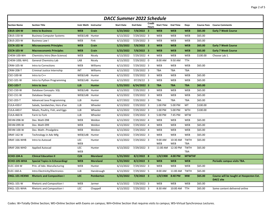| <b>DACC Summer 2022 Schedule</b> |                                       |                          |                 |                   |                          |                 |                   |                 |                           |                    |                                                             |  |
|----------------------------------|---------------------------------------|--------------------------|-----------------|-------------------|--------------------------|-----------------|-------------------|-----------------|---------------------------|--------------------|-------------------------------------------------------------|--|
| <b>Section Name</b>              | <b>Section Title</b>                  | Instr Meth Instructor    |                 | <b>Start Date</b> | <b>End Date</b>          | Credit<br>Hours | <b>Start Time</b> | <b>End Time</b> | Days                      | <b>Course Fees</b> | <b>Course Comments</b>                                      |  |
| <b>CBUS-104-W</b>                | <b>Intro to Business</b>              | <b>WEB</b>               | Crain           | 5/23/2022         | $7/8/2022$ 3             |                 | <b>WEB</b>        | <b>WEB</b>      | <b>WEB</b>                | \$65.00            | <b>Early 7 Week Course</b>                                  |  |
| <b>CBUS-150-W</b>                | <b>Business Computer Systems</b>      | WEB/LAB Hunter           |                 | 6/13/2022         | 7/29/2022 3              |                 | <b>WEB</b>        | <b>WEB</b>      | <b>WEB</b>                | \$65.00            |                                                             |  |
| <b>CBUS-203-W</b>                | <b>Business Law I</b>                 | <b>WEB</b>               | Fink            | 6/13/2022         | 7/29/2022 3              |                 | WEB               | WEB             | <b>WEB</b>                | \$65.00            |                                                             |  |
| <b>CECN-102-W</b>                | <b>Microeconomic Principles</b>       | <b>WEB</b>               | Crain           | 5/23/2022         | $7/8/2022$ 3             |                 | <b>WEB</b>        | <b>WEB</b>      | <b>WEB</b>                | \$65.00            | <b>Early 7 Week Course</b>                                  |  |
| <b>CECN-103-W</b>                | <b>Macroeconomic Principles</b>       | <b>WEB</b>               | Crain           | 5/23/2022         | $7/8/2022$ 3             |                 | <b>WEB</b>        | <b>WEB</b>      | <b>WEB</b>                | \$65.00            | <b>Early 7 Week Course</b>                                  |  |
| CHEM-100-WH                      | Chemistry Intro (Non-Science)         | WEB                      | Nicely          | 6/13/2022         | $7/29/2022$ 4            |                 | WEB               | WEB             | WEB                       | \$100.00           | Choose Lab 1.                                               |  |
| CHEM-100L-WH1                    | <b>General Chemistry Lab</b>          | LAB                      | Nicely          | 6/13/2022         | $\frac{1}{7}{29}/2022$ 0 |                 | 8:00 AM           | 9:50 AM         | <b>TTH</b>                |                    |                                                             |  |
| CRIM-105-W                       | Intro to Corrections                  | <b>WEB</b>               | Williams        | 6/13/2022         | 7/29/2022 3              |                 | <b>WEB</b>        | WEB             | <b>WEB</b>                | \$65.00            |                                                             |  |
| <b>CRIM-208-T</b>                | Criminal Justice Internship           | <b>INT</b>               | Williams        | 6/13/2022         | 7/29/2022 3              |                 | TBA               | <b>TBA</b>      | <b>TBA</b>                |                    |                                                             |  |
| CSCI-100-W                       | Intro to C++                          | WEB/LAB Hunter           |                 | 6/13/2022         | 7/29/2022 3              |                 | WEB               | WEB             | WEB                       | \$65.00            |                                                             |  |
| <b>CSCI-101-W</b>                | Intro to Python Programming           | WEB/LAB Hunter           |                 | 6/13/2022         | 07/29/22 3               |                 | WEB               | WEB             | <b>WEB</b>                | \$65.00            |                                                             |  |
| <b>CSCI-103-T</b>                | <b>Intro to Java</b>                  | <b>LLB</b>               | <b>Hunter</b>   | 5/23/2022         | $6/24/2022$ 3            |                 | <b>TBA</b>        | <b>TBA</b>      | <b>TBA</b>                | \$65.00            |                                                             |  |
| <b>CSCI-150-W</b>                | Database Concepts: SQL                | WEB/LAB Hunter           |                 | 6/13/2022         | 7/29/2022 3              |                 | WEB               | WEB             | <b>WEB</b>                | \$65.00            |                                                             |  |
| <b>CSCI-151-W</b>                | Database Design                       | WEB/LAB Hunter           |                 | 6/13/2022         | $7/29/2022$ 3            |                 | <b>WEB</b>        | WEB             | WEB                       | \$65.00            |                                                             |  |
| <b>CSCI-203-T</b>                | Advanced Java Programming             | <b>LLB</b>               | Hunter          | 6/27/2022         | 7/29/2022 3              |                 | TBA               | TBA             | TBA                       | \$65.00            |                                                             |  |
| <b>CULA-430-F</b>                | Salads, Sandwiches, Hors d'oe         | <b>LLB</b>               | Wheeler         | 6/13/2022         | $7/29/2022$ 3            |                 | 1:00 PM           | 5:00 PM         | MT                        | \$100.00           |                                                             |  |
| CULA-440-F                       | Meats, Poultry, Fish, and Eggs        | LLB                      | Wheeler         | 6/13/2022         | 7/29/2022 3              |                 | 1:00 PM           | 5:00 PM         | <b>WTH</b>                | \$100.00           |                                                             |  |
| <b>CULA-460-N</b>                | Farm to Fork                          | <b>LLB</b>               | Wheeler         | 6/13/2022         | 7/29/2022 3              |                 | 5:00 PM           | 7:45 PM         | <b>MTW</b>                |                    |                                                             |  |
| DEVM-098-W                       | Dev. Math 098                         | WEB                      | Weldon          | 6/13/2022         | 7/29/2022 4              |                 | <b>WEB</b>        | <b>WEB</b>      | WEB                       | \$65.00            |                                                             |  |
| DEVM-099-W                       | Dev. Math 099                         | WEB                      | Weldon          | 6/13/2022         | 7/29/2022 4              |                 | WEB               | WEB             | WEB                       | \$65.00            |                                                             |  |
| DEVM-100-W                       | Dev. Math--Prealgebra                 | WEB                      | Weldon          | 6/13/2022         | 7/29/2022 4              |                 | WEB               | WEB             | WEB                       | \$65.00            |                                                             |  |
| DRAF-162-W                       | Technology in Adv Mfg                 | WEB/LAB Hunter           |                 | 6/13/2022         | 7/29/2022 3              |                 | WEB               | WEB             | <b>WEB</b>                | \$65.00            |                                                             |  |
| DRAF-166-WHB                     | Intro to Autocad                      | <b>LEC</b><br><b>WEB</b> | Hunter          | 6/13/2022         | $7/29/2022$ 3            |                 | 9:00 AM<br>WEB    | 10:30 AM<br>WEB | <b>TWTH</b><br>TBA        | \$65.00            |                                                             |  |
| DRAF-266-WHD                     | <b>Applied Autocad</b>                | <b>LEC</b><br><b>WEB</b> | Hunter          | 6/13/2022         | $7/29/2022$ 3            |                 | 11:00 AM          | 12:30 PM        | <b>TWTH</b><br><b>TBA</b> | \$65.00            |                                                             |  |
| <b>ECHO-104-A</b>                | <b>Clinical Education II</b>          | <b>CLN</b>               | <b>Moreland</b> | 5/23/2022         | 8/2/2022 8               |                 | 1/0/1900          | 4:00 PM         | <b>MTWTHF</b>             |                    |                                                             |  |
| ECHO-105-WHA                     | <b>Special Topics in Echocardiogr</b> | <b>WEB</b>               | <b>Moreland</b> | 5/23/2022         | $8/2/2022$ 3             |                 | <b>WEB</b>        | <b>WEB</b>      | <b>WEB</b>                |                    | Periodic campus visits TBA.                                 |  |
| ELEC-104-W                       | Prin. of Adv. Manufacturing           | WEB                      | Hunter          | 6/13/2022         | $7/29/2022$ 3            |                 | WEB               | WEB             | WEB                       | \$65.00            |                                                             |  |
| <b>ELEC-160-A</b>                | Intro Electricity/Electronics         | <b>LLB</b>               | Hansbraugh      | 6/13/2022         | 7/29/2022 5              |                 | 8:00 AM           | 11:00 AM        | <b>TWTH</b>               | \$65.00            |                                                             |  |
| <b>ENGL-101-HEXNX</b>            | <b>Rhetoric and Composition I</b>     | <b>LEC</b>               | Pemberton       | 5/23/2022         | $7/8/2022$ 3             |                 | 1/0/1900          | 8:40 PM         | <b>MW</b>                 | \$65.00            | Course will be taught at Hoopeston Ext.<br><b>DACC</b> site |  |
| ENGL-101-W                       | Rhetoric and Composition I            | WEB                      | Jarmer          | 6/13/2022         | 7/29/2022 3              |                 | WEB               | <b>WEB</b>      | <b>WEB</b>                | \$65.00            |                                                             |  |
| ENGL-101-WHA                     | <b>Rhetoric and Composition I</b>     | <b>LEC</b>               | Chappell        | 6/13/2022         | 7/29/2022 3              |                 | 8:30 AM           | 10:00 AM        | <b>TTH</b>                | \$65.00            | Some content delivered online                               |  |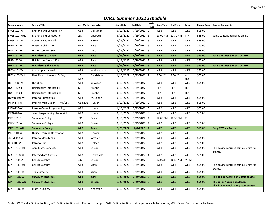| <b>DACC Summer 2022 Schedule</b> |                                    |                       |              |                   |                 |                 |                            |            |                 |         |                                                                         |  |  |
|----------------------------------|------------------------------------|-----------------------|--------------|-------------------|-----------------|-----------------|----------------------------|------------|-----------------|---------|-------------------------------------------------------------------------|--|--|
| <b>Section Name</b>              | <b>Section Title</b>               | Instr Meth Instructor |              | <b>Start Date</b> | <b>End Date</b> | Credit<br>Hours | <b>Start Time End Time</b> |            | Days            |         | <b>Course Fees</b> Course Comments                                      |  |  |
| <b>ENGL-102-W</b>                | <b>Rhetoric and Composition II</b> | WEB                   | Gallagher    | 6/13/2022         | 7/29/2022 3     |                 | WEB                        | <b>WEB</b> | WEB             | \$65.00 |                                                                         |  |  |
| ENGL-102-WHC                     | <b>Rhetoric and Composition II</b> | LEC                   | Chappell     | 6/13/2022         | 7/29/2022 3     |                 | 10:00 AM                   | 11:30 AM   | <b>TTH</b>      | \$65.00 | Some content delivered online                                           |  |  |
| <b>ENGL-121-W</b>                | <b>Communication Skills</b>        | WEB                   | Jarmer       | 6/13/2022         | 7/29/2022 3     |                 | WEB                        | <b>WEB</b> | WEB             | \$65.00 |                                                                         |  |  |
| <b>HIST-112-W</b>                | <b>Western Civilization II</b>     | WEB                   | Pate         | 6/13/2022         | $7/29/2022$ 3   |                 | WEB                        | <b>WEB</b> | WEB             | \$65.00 |                                                                         |  |  |
| <b>HIST-151-W</b>                | U.S. History to 1865               | WEB                   | Pate         | 6/13/2022         | 7/29/2022 3     |                 | WEB                        | <b>WEB</b> | <b>WEB</b>      | \$65.00 |                                                                         |  |  |
| <b>HIST-151-WX</b>               | U.S. History to 1865               | <b>WEB</b>            | Pate         | 5/23/2022         | $6/10/2022$ 3   |                 | <b>WEB</b>                 | <b>WEB</b> | <b>WEB</b>      | \$65.00 | <b>Early Summer 3 Week Course.</b>                                      |  |  |
| <b>HIST-152-W</b>                | U.S. History Since 1865            | WEB                   | Pate         | 6/13/2022         | 7/29/2022 3     |                 | WEB                        | WEB        | WEB             | \$65.00 |                                                                         |  |  |
| <b>HIST-152-WX</b>               | <b>U.S. History Since 1865</b>     | <b>WEB</b>            | Pate         | 5/23/2022         | $6/10/2022$ 3   |                 | <b>WEB</b>                 | <b>WEB</b> | <b>WEB</b>      | \$65.00 | <b>Early Summer 3 Week Course.</b>                                      |  |  |
| <b>HLTH-101-W</b>                | Contemporary Health                | WEB                   | Witherspoon  | 6/13/2022         | 7/29/2022 3     |                 | WEB                        | WEB        | WEB             | \$65.00 |                                                                         |  |  |
| HLTH-102-WH                      | First Aid and Personal Safety      | <b>LLB</b><br>WEB     | McMahon      | 6/13/2022         | 7/29/2022 2     |                 | 5:00 PM                    | 7:00 PM    | W<br><b>TBA</b> | \$65.00 |                                                                         |  |  |
| <b>HLTH-130-W</b>                | Nutrition                          | WEB                   | Crowder      | 6/13/2022         | 7/29/2022 3     |                 | WEB                        | WEB        | WEB             | \$65.00 |                                                                         |  |  |
| <b>HORT-202-T</b>                | Horticulture Internship I          | INT                   | Krabbe       | 6/13/2022         | 7/29/2022 3     |                 | <b>TBA</b>                 | <b>TBA</b> | <b>TBA</b>      |         |                                                                         |  |  |
| <b>HORT-250-T</b>                | Horticulture Internship II         | INT                   | Krabbe       | 6/13/2022         | 7/29/2022 3     |                 | <b>TBA</b>                 | <b>TBA</b> | <b>TBA</b>      |         |                                                                         |  |  |
| <b>HUMN-101-W</b>                | Intro to Humanities                | WEB                   | McConnell    | 6/13/2022         | 7/29/2022 3     |                 | WEB                        | <b>WEB</b> | <b>WEB</b>      | \$65.00 |                                                                         |  |  |
| <b>INFO-174-W</b>                | Intro to Web Design: HTML/CSS      | WEB/LAB Hunter        |              | 6/13/2022         | 7/29/2022 3     |                 | WEB                        | WEB        | <b>WEB</b>      | \$65.00 |                                                                         |  |  |
| <b>INFO-238-W</b>                | Intro to Game Programming          | <b>WEB</b>            | Hunter       | 6/13/2022         | 7/29/2022 3     |                 | WEB                        | <b>WEB</b> | <b>WEB</b>      | \$65.00 |                                                                         |  |  |
| <b>INFO-284-W</b>                | Web Programming: Javascript        | WEB                   | Hunter       | 6/13/2022         | 7/29/2022 3     |                 | <b>WEB</b>                 | <b>WEB</b> | <b>WEB</b>      | \$65.00 |                                                                         |  |  |
| <b>INST-101-E</b>                | <b>Success in College</b>          | <b>LEC</b>            | Sconce       | 6/13/2022         | 7/29/2022 1     |                 | 12:00 PM                   | 12:50 PM   | <b>TTH</b>      |         |                                                                         |  |  |
| <b>INST-101-W</b>                | Success in College                 | WEB                   | Brown        | 6/13/2022         | 7/29/2022 1     |                 | WEB                        | WEB        | <b>WEB</b>      | \$65.00 |                                                                         |  |  |
| <b>INST-101-WR</b>               | <b>Success in College</b>          | <b>WEB</b>            | <b>Crain</b> | 5/23/2022         | $7/8/2022$ 1    |                 | <b>WEB</b>                 | <b>WEB</b> | <b>WEB</b>      | \$65.00 | <b>Early 7 Week Course</b>                                              |  |  |
| <b>INST-110-W</b>                | <b>Online Learning Orientation</b> | WEB                   | Hoover       | 6/13/2022         | 7/29/2022 0     |                 | <b>WEB</b>                 | WEB        | <b>WEB</b>      |         |                                                                         |  |  |
| JRNM-112-W                       | Intro to Mass Media                | WEB                   | Wyckoff      | 6/13/2022         | 7/29/2022 3     |                 | WEB                        | WEB        | WEB             | \$65.00 |                                                                         |  |  |
| LITR-105-W                       | Intro to Film                      | WEB                   | Holden       | 6/13/2022         | 7/29/2022 3     |                 | WEB                        | WEB        | WEB             | \$65.00 |                                                                         |  |  |
| <b>MATH-107-WE</b>               | App. Math. Concepts                | WEB                   | Larson       | 6/13/2022         | 7/29/2022 5     |                 | WEB                        | WEB        | WEB             | \$65.00 | This course requires campus visits for<br>exams.                        |  |  |
| MATH-108-W                       | Intermediate Algebra               | WEB                   | Hardwidge    | 6/13/2022         | 7/29/2022 4     |                 | <b>WEB</b>                 | <b>WEB</b> | <b>WEB</b>      | \$65.00 |                                                                         |  |  |
| <b>MATH-111-A</b>                | College Algebra                    | LEC                   | Larson       | 6/13/2022         | 7/29/2022 5     |                 | 8:30 AM                    | 10:50 AM   | <b>MTWTH</b>    |         |                                                                         |  |  |
| <b>MATH-111-WE</b>               | College Algebra                    | WEB                   | Chen         | 6/13/2022         | 7/29/2022 5     |                 | WEB                        | <b>WEB</b> | <b>WEB</b>      | \$65.00 | This course requires campus visits for<br>exams.                        |  |  |
| <b>MATH-114-W</b>                | Trigonometry                       | WEB                   | Chen         | 6/13/2022         | $7/29/2022$ 3   |                 | WEB                        | <b>WEB</b> | <b>WEB</b>      | \$65.00 |                                                                         |  |  |
| <b>MATH-115-W</b>                | <b>Survey of Statistics</b>        | <b>WEB</b>            | <b>York</b>  | 5/23/2022         | 7/29/2022 3     |                 | <b>WEB</b>                 | <b>WEB</b> | <b>WEB</b>      | \$65.00 | This is a 10 week, early start course.                                  |  |  |
| <b>MATH-115-WN</b>               | <b>Survey of Statistics</b>        | <b>WEB</b>            | Larson       | 5/23/2022         | 7/29/2022 3     |                 | <b>WEB</b>                 | <b>WEB</b> | <b>WEB</b>      | \$65.00 | This is for Nursing students.<br>This is a 10 week, early start course. |  |  |
| <b>MATH-116-W</b>                | Math in Society                    | WEB                   | Anderson     | 6/13/2022         | 7/29/2022 3     |                 | WEB                        | <b>WEB</b> | <b>WEB</b>      | \$65.00 |                                                                         |  |  |

Codes: W=Totally Online Section; WE=Online Section with Exams on campus; WH=Online Section that requires visits to campus; WS=Virtual Synchronous Lectures.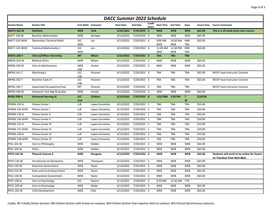| <b>DACC Summer 2022 Schedule</b> |                                   |                          |                 |                   |                         |                 |                        |                        |                         |                    |                                                                        |  |
|----------------------------------|-----------------------------------|--------------------------|-----------------|-------------------|-------------------------|-----------------|------------------------|------------------------|-------------------------|--------------------|------------------------------------------------------------------------|--|
| <b>Section Name</b>              | <b>Section Title</b>              | Instr Meth Instructor    |                 | <b>Start Date</b> | <b>End Date</b>         | Credit<br>Hours | <b>Start Time</b>      | <b>End Time</b>        | Days                    | <b>Course Fees</b> | <b>Course Comments</b>                                                 |  |
| <b>MATH-161-W</b>                | <b>Statistics</b>                 | <b>WEB</b>               | <b>York</b>     |                   | 5/23/2022 7/29/2022 3   |                 | <b>WEB</b>             | <b>WEB</b>             | <b>WEB</b>              | \$65.00            | This is a 10 week early start course.                                  |  |
| MATT-104-W                       | <b>Business Mathematics</b>       | <b>WEB</b>               | Springer        | 6/13/2022         | 7/29/2022 3             |                 | WEB                    | WEB                    | WEB                     | \$65.00            |                                                                        |  |
| MATT-132-WHB                     | <b>Elementary Technical Math</b>  | LEC                      | Jun             | 6/13/2022         | 7/29/2022 4             |                 | 9:00 AM                | 10:30 AM               | <b>MW</b>               | \$65.00            |                                                                        |  |
|                                  | <b>Technical Mathematics I</b>    | WEB                      |                 |                   |                         |                 | WEB                    | WEB                    | <b>TBA</b>              |                    |                                                                        |  |
| MATT-133-WHD                     |                                   | <b>LEC</b><br><b>WEB</b> | Jun             | 6/13/2022         | 7/29/2022 4             |                 | 11:00 AM<br><b>WEB</b> | 12:30 PM<br><b>WEB</b> | <b>MW</b><br><b>TBA</b> | \$65.00            |                                                                        |  |
| <b>MEDA-200-T</b>                | <b>Clinical/Office Internship</b> | <b>INT</b>               | <b>Milam</b>    | 5/23/2022         | $7/29/2022$ 3           |                 | <b>TBA</b>             | <b>TBA</b>             | <b>TBA</b>              |                    |                                                                        |  |
| <b>MEDA-210-W</b>                | <b>Medical Ethics</b>             | <b>WEB</b>               | Milam           | 6/13/2022         | 7/29/2022 3             |                 | WEB                    | WEB                    | WEB                     | \$65.00            |                                                                        |  |
| MFRG-105-W                       | Intro to Maintenance              | WEB<br>LAB               | Hunter          | 6/13/2022         | 7/29/2022 3             |                 | WEB                    | WEB                    | WEB                     | \$65.00            |                                                                        |  |
| MFRG-161-T                       | <b>Machining II</b>               | LEC                      | Flessner        | 6/13/2022         | 7/29/2022 3             |                 | TBA                    | TBA                    | <b>TBA</b>              | \$65.00            | MUST have Instructor Consent                                           |  |
| <b>MFRG-162-T</b>                | Machine Tools III                 | LAB<br><b>LEC</b><br>LAB | Flessner        | 6/13/2022         | 7/29/2022 3             |                 | <b>TBA</b>             | TBA                    | <b>TBA</b>              | \$65.00            | MUST have Instructor Consent                                           |  |
| MFRG-185-T                       | Supervised Occupational Exp.      | INT                      | Flessner        | 6/13/2022         | $\frac{1}{7}/29/2022$ 3 |                 | TBA                    | TBA                    | <b>TBA</b>              |                    | MUST have Instructor Consent                                           |  |
| MFRG-200-W                       | Industrial Tech Mgt & Quality     | WEB                      | Hunter          | 6/13/2022         | 7/29/2022 3             |                 | <b>WEB</b>             | WEB                    | WEB                     | \$65.00            |                                                                        |  |
| <b>NURS-298-A</b>                | <b>Advanced Nursing III</b>       | <b>LEC</b><br><b>CLN</b> | <b>Childers</b> | 5/23/2022         | 7/29/2022 8             |                 | 1/0/1900               | 2:30 PM                | T<br>W                  | \$150.00           |                                                                        |  |
| <b>PEMW-135-A</b>                | Fitness Center I                  | <b>LLB</b>               | Lopez-Cervantes | 6/13/2022         | 7/29/2022 1             |                 | <b>TBA</b>             | <b>TBA</b>             | <b>TBA</b>              | \$55.00            |                                                                        |  |
| PEMW-135-AHSF                    | <b>Fitness Center I</b>           | <b>LLB</b>               | Lopez-Cervantes | 6/13/2022         | 7/29/2022 1             |                 | TBA                    | TBA                    | TBA                     | \$20.00            |                                                                        |  |
| <b>PEMW-136-A</b>                | Fitness Center II                 | <b>LLB</b>               | Lopez-Cervantes | 6/13/2022         | 7/29/2022 1             |                 | <b>TBA</b>             | TBA                    | <b>TBA</b>              | \$45.00            |                                                                        |  |
| PEMW-136-AHSF                    | <b>Fitness Center II</b>          | <b>LLB</b>               | Lopez-Cervantes | 6/13/2022         | 7/29/2022 1             |                 | TBA                    | <b>TBA</b>             | TBA                     | \$20.00            |                                                                        |  |
| <b>PEMW-137-A</b>                | Fitness Center III                | <b>LLB</b>               | Lopez-Cervantes | 6/13/2022         | 7/29/2022 1             |                 | <b>TBA</b>             | TBA                    | TBA                     | \$55.00            |                                                                        |  |
| PEMW-137-AHSF                    | Fitness Center III                | LLB                      | Lopez-Cervantes | 6/13/2022         | 7/29/2022 1             |                 | TBA                    | <b>TBA</b>             | <b>TBA</b>              | \$20.00            |                                                                        |  |
| <b>PEMW-138-A</b>                | <b>Fitness Center IV</b>          | <b>LLB</b>               | Lopez-Cervantes | 6/13/2022         | $7/29/2022$ 1           |                 | <b>TBA</b>             | <b>TBA</b>             | TBA                     | \$55.00            |                                                                        |  |
| PEMW-138-AHSF                    | Fitness Center IV                 | <b>LLB</b>               | Lopez-Cervantes | 6/13/2022         | 7/29/2022 1             |                 | TBA                    | <b>TBA</b>             | <b>TBA</b>              | \$20.00            |                                                                        |  |
| PHIL-101-W                       | Intro to Philosophy               | WEB                      | Holden          | 6/13/2022         | 7/29/2022 3             |                 | WEB                    | WEB                    | WEB                     | \$65.00            |                                                                        |  |
| PHIL-103-W                       | Ethics                            | WEB                      | Holden          | 6/13/2022         | 7/29/2022 3             |                 | <b>WEB</b>             | <b>WEB</b>             | WEB                     | \$65.00            |                                                                        |  |
| <b>PHYS-142-W</b>                | <b>Physical Science II</b>        | <b>WEB</b>               | Sturgeon        | 6/13/2022         | 7/29/2022 4             |                 | <b>WEB</b>             | <b>WEB</b>             | <b>WEB</b>              | \$65.00            | Students will need to be online for Exams<br>on Tuesdays from 6pm-8pm. |  |
| PHYS-143-W                       | Introduction to Astronomy         | WEB                      | Thompson        | 6/13/2022         | $7/29/2022$ 3           |                 | <b>WEB</b>             | <b>WEB</b>             | WEB                     | \$65.00            |                                                                        |  |
| <b>POLI-150-W</b>                | American Government               | WEB                      | Hantz           | 6/13/2022         | 7/29/2022 3             |                 | WEB                    | WEB                    | WEB                     | \$65.00            |                                                                        |  |
| <b>POLI-231-W</b>                | <b>State and Local Government</b> | WEB                      | Hantz           | 6/13/2022         | 7/29/2022 3             |                 | WEB                    | WEB                    | WEB                     | \$65.00            |                                                                        |  |
| <b>POLI-238-W</b>                | <b>Comparative Government</b>     | <b>WEB</b>               | Hantz           | 6/13/2022         | 7/29/2022 3             |                 | <b>WEB</b>             | <b>WEB</b>             | WEB                     | \$65.00            |                                                                        |  |
| PSYC-100-A                       | Intro to Psychology               | <b>LEC</b>               | Stamm           | 6/13/2022         | 7/29/2022 3             |                 | 8:30 AM                | 11:30 AM               | <b>TTH</b>              |                    |                                                                        |  |
| PSYC-100-W                       | Intro to Psychology               | WEB                      | Wade            | 6/13/2022         | 7/29/2022 3             |                 | WEB                    | <b>WEB</b>             | WEB                     | \$65.00            |                                                                        |  |
| PSYC-101-W                       | Child Development                 | WEB                      | Pate            | 6/13/2022         | 7/29/2022 3             |                 | WEB                    | <b>WEB</b>             | WEB                     | \$65.00            |                                                                        |  |

Codes: W=Totally Online Section; WE=Online Section with Exams on campus; WH=Online Section that requires visits to campus; WS=Virtual Synchronous Lectures.